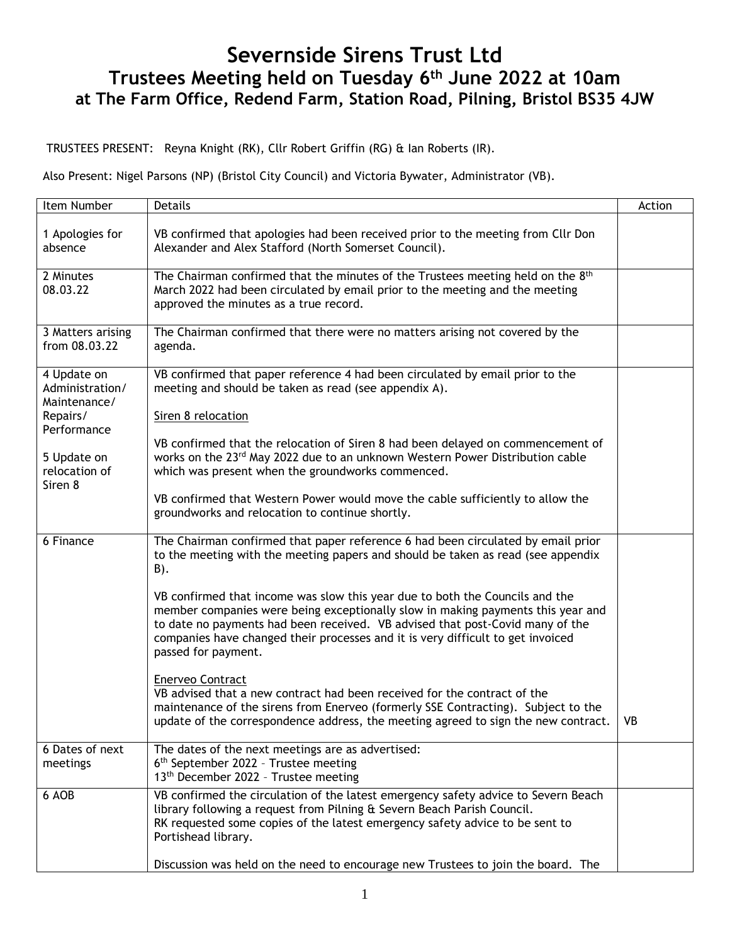# **Severnside Sirens Trust Ltd Trustees Meeting held on Tuesday 6 th June 2022 at 10am at The Farm Office, Redend Farm, Station Road, Pilning, Bristol BS35 4JW**

TRUSTEES PRESENT: Reyna Knight (RK), Cllr Robert Griffin (RG) & Ian Roberts (IR).

Also Present: Nigel Parsons (NP) (Bristol City Council) and Victoria Bywater, Administrator (VB).

| Item Number                                                               | <b>Details</b>                                                                                                                                                                                                                                                                                                                                             | Action |
|---------------------------------------------------------------------------|------------------------------------------------------------------------------------------------------------------------------------------------------------------------------------------------------------------------------------------------------------------------------------------------------------------------------------------------------------|--------|
| 1 Apologies for<br>absence                                                | VB confirmed that apologies had been received prior to the meeting from Cllr Don<br>Alexander and Alex Stafford (North Somerset Council).                                                                                                                                                                                                                  |        |
| 2 Minutes<br>08.03.22                                                     | The Chairman confirmed that the minutes of the Trustees meeting held on the 8 <sup>th</sup><br>March 2022 had been circulated by email prior to the meeting and the meeting<br>approved the minutes as a true record.                                                                                                                                      |        |
| 3 Matters arising<br>from 08.03.22                                        | The Chairman confirmed that there were no matters arising not covered by the<br>agenda.                                                                                                                                                                                                                                                                    |        |
| 4 Update on<br>Administration/<br>Maintenance/<br>Repairs/<br>Performance | VB confirmed that paper reference 4 had been circulated by email prior to the<br>meeting and should be taken as read (see appendix A).<br>Siren 8 relocation                                                                                                                                                                                               |        |
| 5 Update on<br>relocation of<br>Siren 8                                   | VB confirmed that the relocation of Siren 8 had been delayed on commencement of<br>works on the 23rd May 2022 due to an unknown Western Power Distribution cable<br>which was present when the groundworks commenced.                                                                                                                                      |        |
|                                                                           | VB confirmed that Western Power would move the cable sufficiently to allow the<br>groundworks and relocation to continue shortly.                                                                                                                                                                                                                          |        |
| 6 Finance                                                                 | The Chairman confirmed that paper reference 6 had been circulated by email prior<br>to the meeting with the meeting papers and should be taken as read (see appendix<br>B).                                                                                                                                                                                |        |
|                                                                           | VB confirmed that income was slow this year due to both the Councils and the<br>member companies were being exceptionally slow in making payments this year and<br>to date no payments had been received. VB advised that post-Covid many of the<br>companies have changed their processes and it is very difficult to get invoiced<br>passed for payment. |        |
|                                                                           | <b>Enerveo Contract</b><br>VB advised that a new contract had been received for the contract of the<br>maintenance of the sirens from Enerveo (formerly SSE Contracting). Subject to the<br>update of the correspondence address, the meeting agreed to sign the new contract.                                                                             | VB     |
| 6 Dates of next<br>meetings                                               | The dates of the next meetings are as advertised:<br>6 <sup>th</sup> September 2022 - Trustee meeting<br>13th December 2022 - Trustee meeting                                                                                                                                                                                                              |        |
| 6 AOB                                                                     | VB confirmed the circulation of the latest emergency safety advice to Severn Beach<br>library following a request from Pilning & Severn Beach Parish Council.<br>RK requested some copies of the latest emergency safety advice to be sent to<br>Portishead library.                                                                                       |        |
|                                                                           | Discussion was held on the need to encourage new Trustees to join the board. The                                                                                                                                                                                                                                                                           |        |